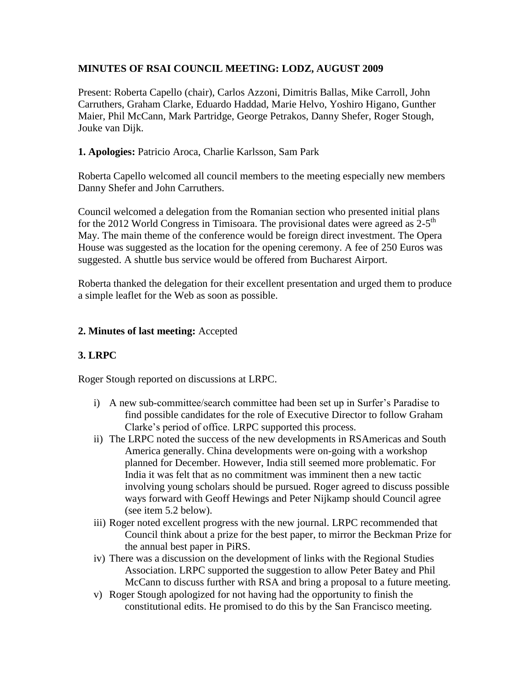## **MINUTES OF RSAI COUNCIL MEETING: LODZ, AUGUST 2009**

Present: Roberta Capello (chair), Carlos Azzoni, Dimitris Ballas, Mike Carroll, John Carruthers, Graham Clarke, Eduardo Haddad, Marie Helvo, Yoshiro Higano, Gunther Maier, Phil McCann, Mark Partridge, George Petrakos, Danny Shefer, Roger Stough, Jouke van Dijk.

#### **1. Apologies:** Patricio Aroca, Charlie Karlsson, Sam Park

Roberta Capello welcomed all council members to the meeting especially new members Danny Shefer and John Carruthers.

Council welcomed a delegation from the Romanian section who presented initial plans for the 2012 World Congress in Timisoara. The provisional dates were agreed as  $2-5<sup>th</sup>$ May. The main theme of the conference would be foreign direct investment. The Opera House was suggested as the location for the opening ceremony. A fee of 250 Euros was suggested. A shuttle bus service would be offered from Bucharest Airport.

Roberta thanked the delegation for their excellent presentation and urged them to produce a simple leaflet for the Web as soon as possible.

#### **2. Minutes of last meeting:** Accepted

#### **3. LRPC**

Roger Stough reported on discussions at LRPC.

- i) A new sub-committee/search committee had been set up in Surfer's Paradise to find possible candidates for the role of Executive Director to follow Graham Clarke's period of office. LRPC supported this process.
- ii) The LRPC noted the success of the new developments in RSAmericas and South America generally. China developments were on-going with a workshop planned for December. However, India still seemed more problematic. For India it was felt that as no commitment was imminent then a new tactic involving young scholars should be pursued. Roger agreed to discuss possible ways forward with Geoff Hewings and Peter Nijkamp should Council agree (see item 5.2 below).
- iii) Roger noted excellent progress with the new journal. LRPC recommended that Council think about a prize for the best paper, to mirror the Beckman Prize for the annual best paper in PiRS.
- iv) There was a discussion on the development of links with the Regional Studies Association. LRPC supported the suggestion to allow Peter Batey and Phil McCann to discuss further with RSA and bring a proposal to a future meeting.
- v) Roger Stough apologized for not having had the opportunity to finish the constitutional edits. He promised to do this by the San Francisco meeting.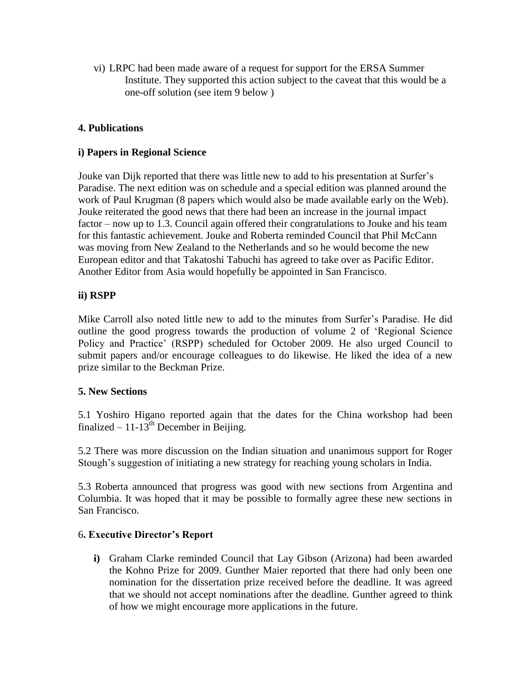vi) LRPC had been made aware of a request for support for the ERSA Summer Institute. They supported this action subject to the caveat that this would be a one-off solution (see item 9 below )

#### **4. Publications**

#### **i) Papers in Regional Science**

Jouke van Dijk reported that there was little new to add to his presentation at Surfer's Paradise. The next edition was on schedule and a special edition was planned around the work of Paul Krugman (8 papers which would also be made available early on the Web). Jouke reiterated the good news that there had been an increase in the journal impact factor – now up to 1.3. Council again offered their congratulations to Jouke and his team for this fantastic achievement. Jouke and Roberta reminded Council that Phil McCann was moving from New Zealand to the Netherlands and so he would become the new European editor and that Takatoshi Tabuchi has agreed to take over as Pacific Editor. Another Editor from Asia would hopefully be appointed in San Francisco.

# **ii) RSPP**

Mike Carroll also noted little new to add to the minutes from Surfer's Paradise. He did outline the good progress towards the production of volume 2 of 'Regional Science Policy and Practice' (RSPP) scheduled for October 2009. He also urged Council to submit papers and/or encourage colleagues to do likewise. He liked the idea of a new prize similar to the Beckman Prize.

#### **5. New Sections**

5.1 Yoshiro Higano reported again that the dates for the China workshop had been finalized –  $11-13^{th}$  December in Beijing.

5.2 There was more discussion on the Indian situation and unanimous support for Roger Stough's suggestion of initiating a new strategy for reaching young scholars in India.

5.3 Roberta announced that progress was good with new sections from Argentina and Columbia. It was hoped that it may be possible to formally agree these new sections in San Francisco.

#### 6**. Executive Director's Report**

**i)** Graham Clarke reminded Council that Lay Gibson (Arizona) had been awarded the Kohno Prize for 2009. Gunther Maier reported that there had only been one nomination for the dissertation prize received before the deadline. It was agreed that we should not accept nominations after the deadline. Gunther agreed to think of how we might encourage more applications in the future.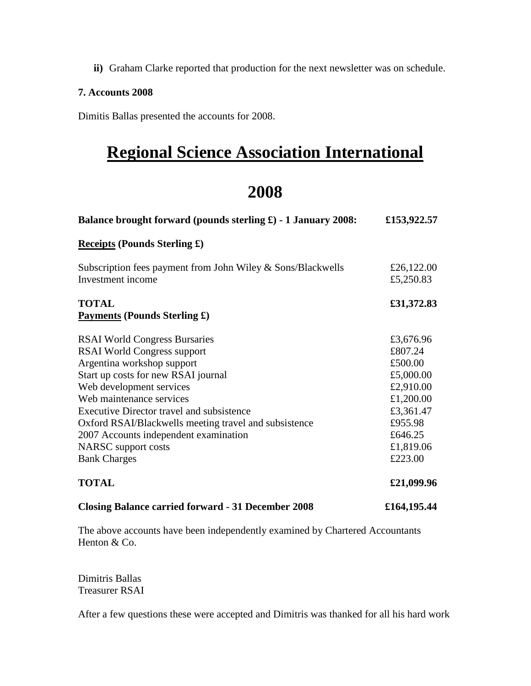**ii)** Graham Clarke reported that production for the next newsletter was on schedule.

#### **7. Accounts 2008**

Dimitis Ballas presented the accounts for 2008.

# **Regional Science Association International**

# **2008**

| Balance brought forward (pounds sterling $\pounds$ ) - 1 January 2008:           | £153,922.57             |
|----------------------------------------------------------------------------------|-------------------------|
| <b>Receipts (Pounds Sterling £)</b>                                              |                         |
| Subscription fees payment from John Wiley & Sons/Blackwells<br>Investment income | £26,122.00<br>£5,250.83 |
| <b>TOTAL</b><br><b>Payments (Pounds Sterling £)</b>                              | £31,372.83              |
| <b>RSAI World Congress Bursaries</b>                                             | £3,676.96               |
| <b>RSAI World Congress support</b>                                               | £807.24                 |
| Argentina workshop support                                                       | £500.00                 |
| Start up costs for new RSAI journal                                              | £5,000.00               |
| Web development services                                                         | £2,910.00               |
| Web maintenance services                                                         | £1,200.00               |
| <b>Executive Director travel and subsistence</b>                                 | £3,361.47               |
| Oxford RSAI/Blackwells meeting travel and subsistence                            | £955.98                 |
| 2007 Accounts independent examination                                            | £646.25                 |
| NARSC support costs                                                              | £1,819.06               |
| <b>Bank Charges</b>                                                              | £223.00                 |
| <b>TOTAL</b>                                                                     | £21,099.96              |
| <b>Closing Balance carried forward - 31 December 2008</b>                        | £164,195.44             |

The above accounts have been independently examined by Chartered Accountants Henton & Co.

Dimitris Ballas Treasurer RSAI

After a few questions these were accepted and Dimitris was thanked for all his hard work